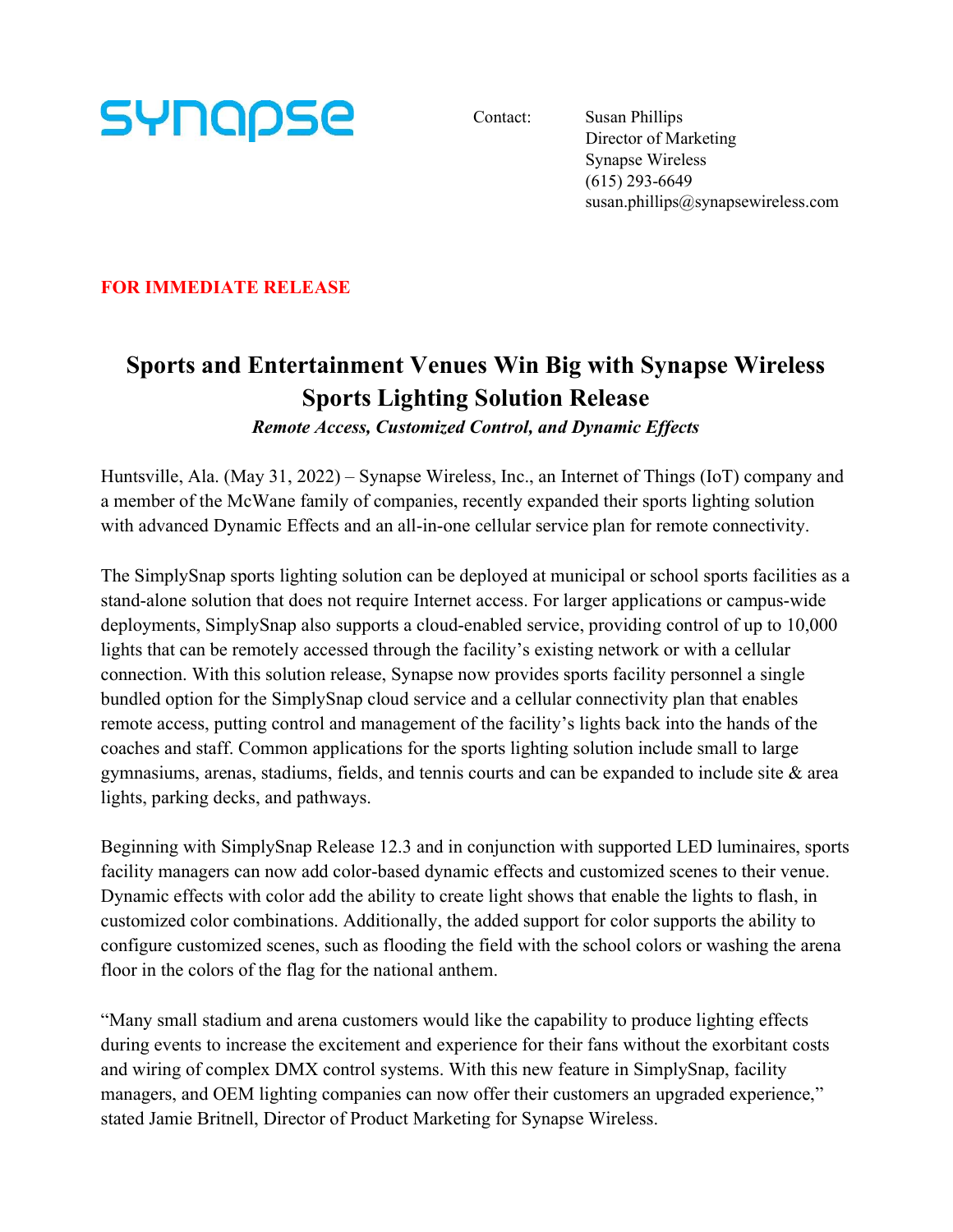

Contact: Susan Phillips Director of Marketing Synapse Wireless (615) 293-6649 susan.phillips@synapsewireless.com

FOR IMMEDIATE RELEASE

## Sports and Entertainment Venues Win Big with Synapse Wireless Sports Lighting Solution Release

Remote Access, Customized Control, and Dynamic Effects

Huntsville, Ala. (May 31, 2022) – Synapse Wireless, Inc., an Internet of Things (IoT) company and a member of the McWane family of companies, recently expanded their sports lighting solution with advanced Dynamic Effects and an all-in-one cellular service plan for remote connectivity.

The SimplySnap sports lighting solution can be deployed at municipal or school sports facilities as a stand-alone solution that does not require Internet access. For larger applications or campus-wide deployments, SimplySnap also supports a cloud-enabled service, providing control of up to 10,000 lights that can be remotely accessed through the facility's existing network or with a cellular connection. With this solution release, Synapse now provides sports facility personnel a single bundled option for the SimplySnap cloud service and a cellular connectivity plan that enables remote access, putting control and management of the facility's lights back into the hands of the coaches and staff. Common applications for the sports lighting solution include small to large gymnasiums, arenas, stadiums, fields, and tennis courts and can be expanded to include site  $\&$  area lights, parking decks, and pathways.

Beginning with SimplySnap Release 12.3 and in conjunction with supported LED luminaires, sports facility managers can now add color-based dynamic effects and customized scenes to their venue. Dynamic effects with color add the ability to create light shows that enable the lights to flash, in customized color combinations. Additionally, the added support for color supports the ability to configure customized scenes, such as flooding the field with the school colors or washing the arena floor in the colors of the flag for the national anthem.

"Many small stadium and arena customers would like the capability to produce lighting effects during events to increase the excitement and experience for their fans without the exorbitant costs and wiring of complex DMX control systems. With this new feature in SimplySnap, facility managers, and OEM lighting companies can now offer their customers an upgraded experience," stated Jamie Britnell, Director of Product Marketing for Synapse Wireless.